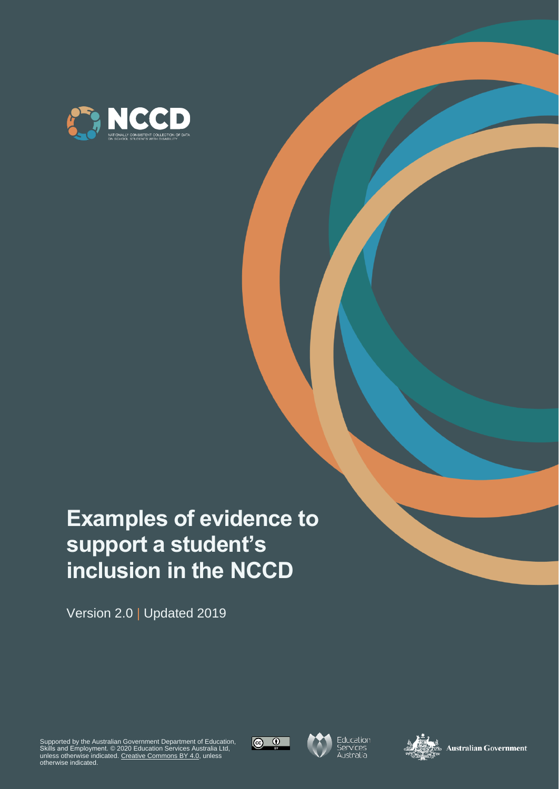

# **Examples of evidence to support a student's inclusion in the NCCD**

Version 2.0 | Updated 2019

Supported by the Australian Government Department of Education,<br>Skills and Employment. © 2020 Education Services Australia Ltd,<br>unless otherwise indicated. <u>[Creative Commons BY 4.0,](https://creativecommons.org/licenses/by/4.0/)</u> unless<br>otherwise indicated.







**Australian Government**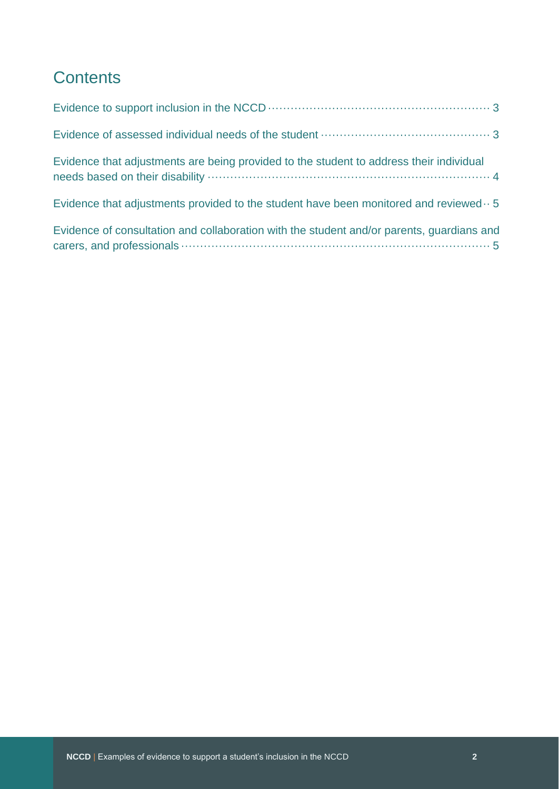## **Contents**

| Evidence that adjustments are being provided to the student to address their individual            |
|----------------------------------------------------------------------------------------------------|
| Evidence that adjustments provided to the student have been monitored and reviewed $\cdot \cdot$ 5 |
| Evidence of consultation and collaboration with the student and/or parents, guardians and          |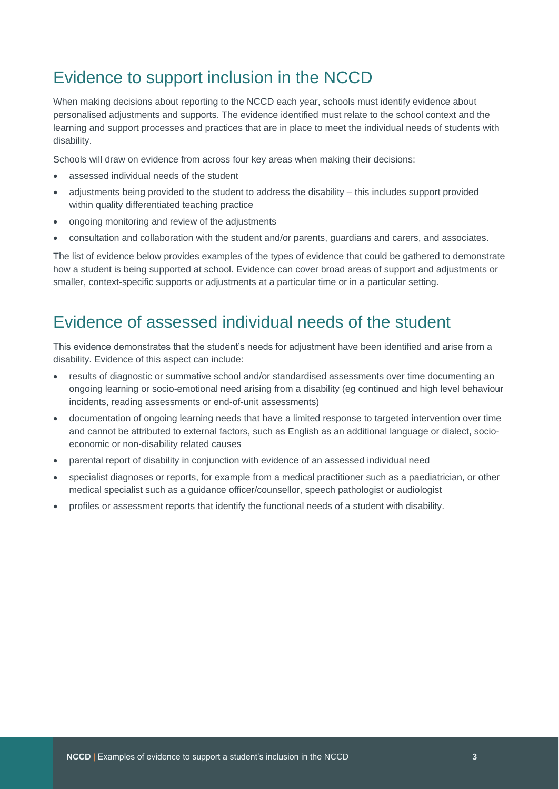### <span id="page-2-0"></span>Evidence to support inclusion in the NCCD

When making decisions about reporting to the NCCD each year, schools must identify evidence about personalised adjustments and supports. The evidence identified must relate to the school context and the learning and support processes and practices that are in place to meet the individual needs of students with disability.

Schools will draw on evidence from across four key areas when making their decisions:

- assessed individual needs of the student
- adjustments being provided to the student to address the disability this includes support provided within quality differentiated teaching practice
- ongoing monitoring and review of the adjustments
- consultation and collaboration with the student and/or parents, guardians and carers, and associates.

The list of evidence below provides examples of the types of evidence that could be gathered to demonstrate how a student is being supported at school. Evidence can cover broad areas of support and adjustments or smaller, context-specific supports or adjustments at a particular time or in a particular setting.

#### <span id="page-2-1"></span>Evidence of assessed individual needs of the student

This evidence demonstrates that the student's needs for adjustment have been identified and arise from a disability. Evidence of this aspect can include:

- results of diagnostic or summative school and/or standardised assessments over time documenting an ongoing learning or socio-emotional need arising from a disability (eg continued and high level behaviour incidents, reading assessments or end-of-unit assessments)
- documentation of ongoing learning needs that have a limited response to targeted intervention over time and cannot be attributed to external factors, such as English as an additional language or dialect, socioeconomic or non-disability related causes
- parental report of disability in conjunction with evidence of an assessed individual need
- specialist diagnoses or reports, for example from a medical practitioner such as a paediatrician, or other medical specialist such as a guidance officer/counsellor, speech pathologist or audiologist
- profiles or assessment reports that identify the functional needs of a student with disability.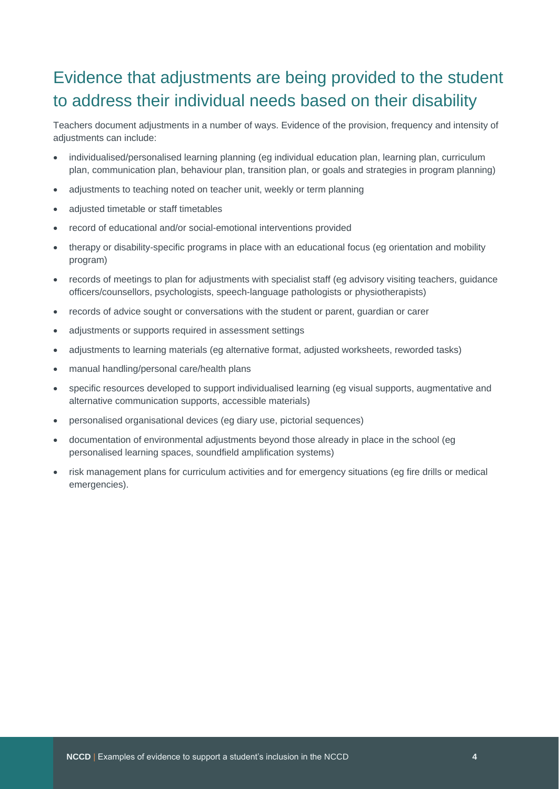# <span id="page-3-0"></span>Evidence that adjustments are being provided to the student to address their individual needs based on their disability

Teachers document adjustments in a number of ways. Evidence of the provision, frequency and intensity of adjustments can include:

- individualised/personalised learning planning (eg individual education plan, learning plan, curriculum plan, communication plan, behaviour plan, transition plan, or goals and strategies in program planning)
- adjustments to teaching noted on teacher unit, weekly or term planning
- adjusted timetable or staff timetables
- record of educational and/or social-emotional interventions provided
- therapy or disability-specific programs in place with an educational focus (eg orientation and mobility program)
- records of meetings to plan for adjustments with specialist staff (eg advisory visiting teachers, guidance officers/counsellors, psychologists, speech-language pathologists or physiotherapists)
- records of advice sought or conversations with the student or parent, guardian or carer
- adjustments or supports required in assessment settings
- adjustments to learning materials (eg alternative format, adjusted worksheets, reworded tasks)
- manual handling/personal care/health plans
- specific resources developed to support individualised learning (eg visual supports, augmentative and alternative communication supports, accessible materials)
- personalised organisational devices (eg diary use, pictorial sequences)
- documentation of environmental adjustments beyond those already in place in the school (eg personalised learning spaces, soundfield amplification systems)
- risk management plans for curriculum activities and for emergency situations (eg fire drills or medical emergencies).